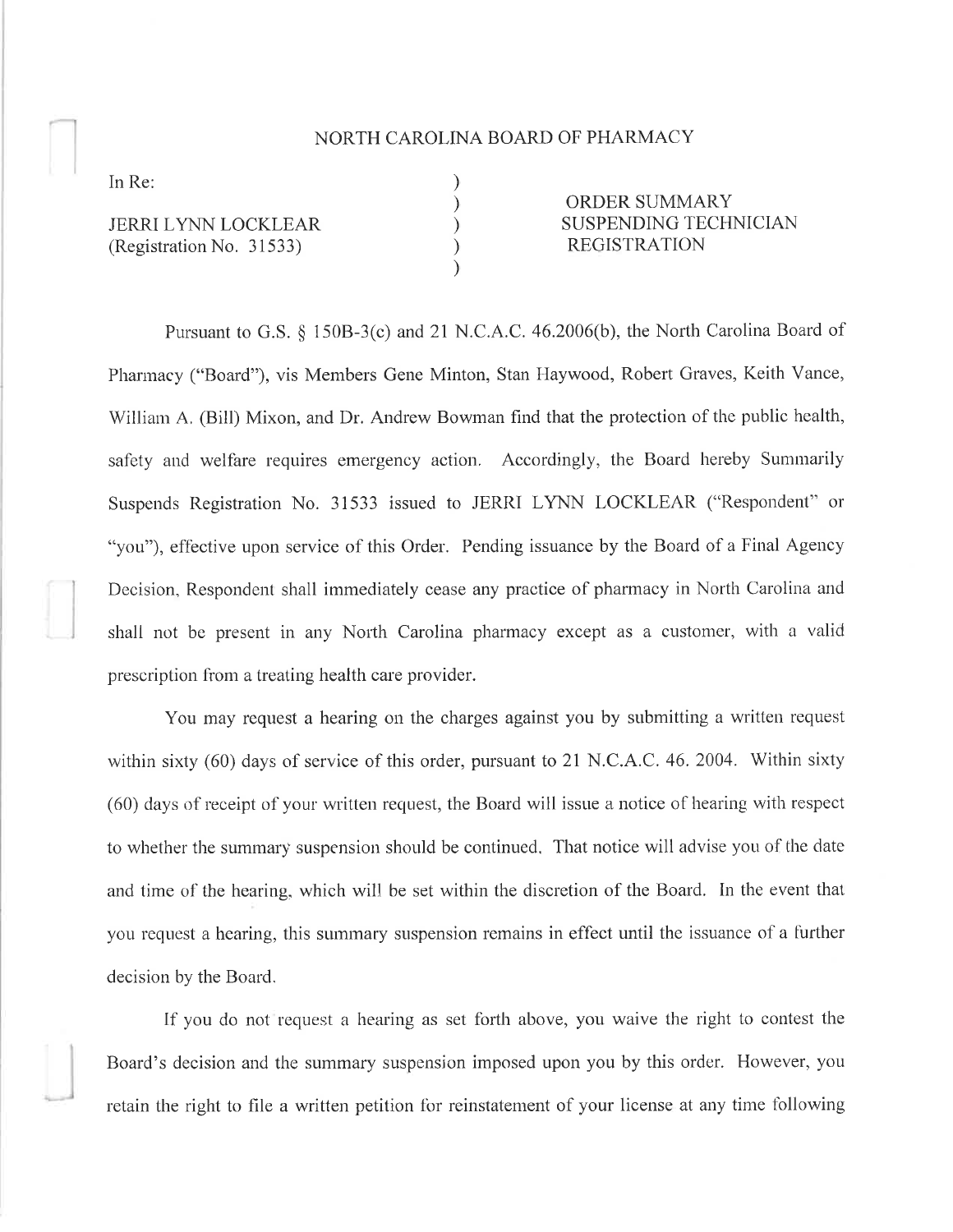## NORTH CAROLINA BOARD OF PHARMACY

) ) ) ) )

In Re:

JERRI LYNN LOCKLEAR (Registration No. 3 1533)

ORDER SUMMARY SUSPENDING TECHNICIAN REGISTRATION

Pursuant to G.S. § 150B-3(c) and 21 N.C.A.C. 46.2006(b), the North Carolina Board of Phannacy ("Board"), vis Members Gene Minton, Stan Haywood, Robert Graves, Keith Vance, William A, (Bill) Mixon, and Dr. Andrew Bowman find that the protection of the public health, safety and welfare requires emergency action. Accordingly, the Board hereby Summarily Suspends Registration No.31533 issued to JERRI LYNN LOCKLEAR ("Respondent" or "you"), effective upon service of this Order. Pending issuance by the Board of a Final Agency Decision, Respondent shall immediately cease any practice of pharmacy in North Carolina and shall not be present in any North Carolina pharmacy except as a customer, with a valid prescription from a treating health care provider.

You may request a hearing on the charges against you by submitting a written request within sixty (60) days of service of this order, pursuant to 21 N.C.A.C.46.2004. Within sixty (60) days of receipt of your written request, the Board will issue a notice of hearing with respect to whether the summary suspension should be continued. That notice will advise you of the date and time of the hearing, which will be set within the discretion of the Board. In the event that you request a hearing, this summary suspension remains in effect until the issuance of a further decision by the Board.

If you do not request a hearing as set forth above, you waive the right to contest the Board's decision and the summary suspension imposed upon you by this order. However, you retain the right to file a written petition for reinstatement of your license at any time following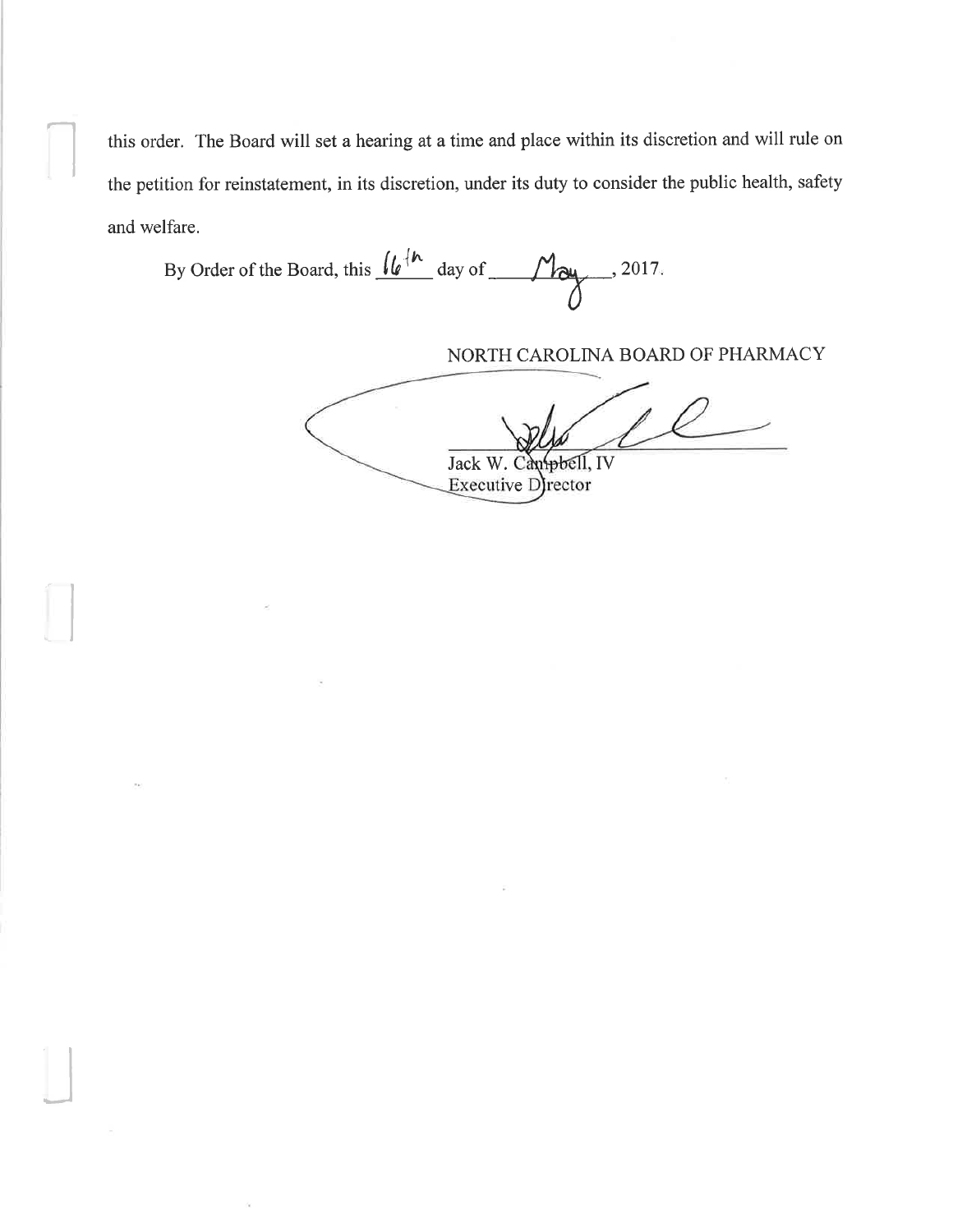this order. The Board will set a hearing at a time and place within its discretion and will rule on the petition for reinstatement, in its discretion, under its duty to consider the public health, safety and welfare.

By Order of the Board, this  $\frac{\int_0^1 e^{h}}{\int_0^1}$  day of  $\frac{1}{\int_0^1 e^{h}}$ , 2017.  $\mathcal{O}$ 

I

 $\Box$ 

NORTH CAROLINA BOARD OF PHARMACY

Jack W. Can<del>pbel</del>l, IV Executive D) rector